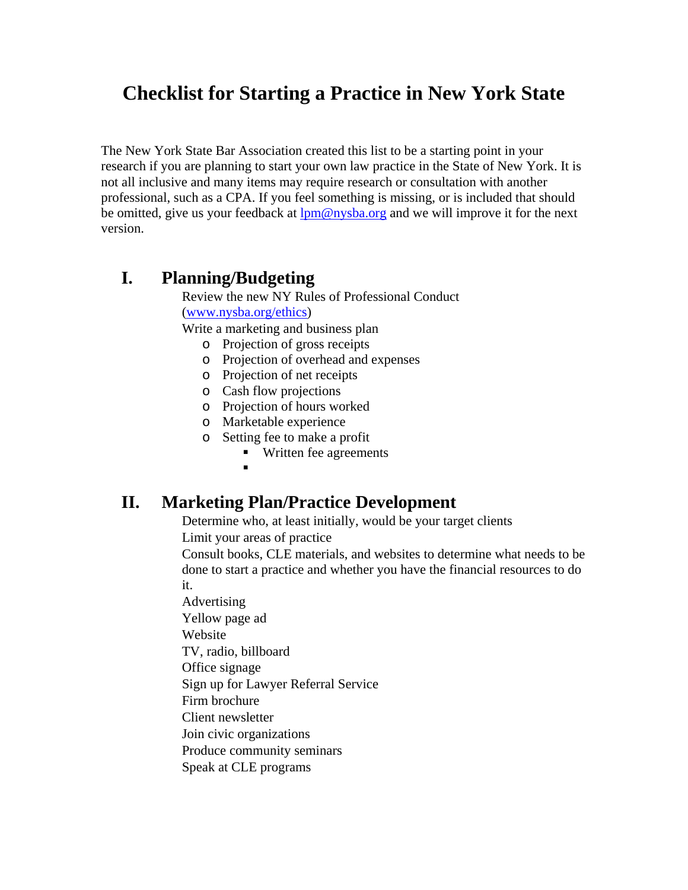# **Checklist for Starting a Practice in New York State**

The New York State Bar Association created this list to be a starting point in your research if you are planning to start your own law practice in the State of New York. It is not all inclusive and many items may require research or consultation with another professional, such as a CPA. If you feel something is missing, or is included that should be omitted, give us your feedback at  $lpm@nysba.org$  and we will improve it for the next version.

### **I. Planning/Budgeting**

Review the new NY Rules of Professional Conduct ([www.nysba.org/ethics](http://www.nysba.org/ethics))

Write a marketing and business plan

- o Projection of gross receipts
- o Projection of overhead and expenses
- o Projection of net receipts
- o Cash flow projections
- o Projection of hours worked
- o Marketable experience
- o Setting fee to make a profit
	- Written fee agreements
	- $\blacksquare$

#### **II. Marketing Plan/Practice Development**

Determine who, at least initially, would be your target clients

Limit your areas of practice

Consult books, CLE materials, and websites to determine what needs to be done to start a practice and whether you have the financial resources to do it.

Advertising Yellow page ad Website TV, radio, billboard Office signage Sign up for Lawyer Referral Service

Firm brochure

Client newsletter

Join civic organizations

Produce community seminars

Speak at CLE programs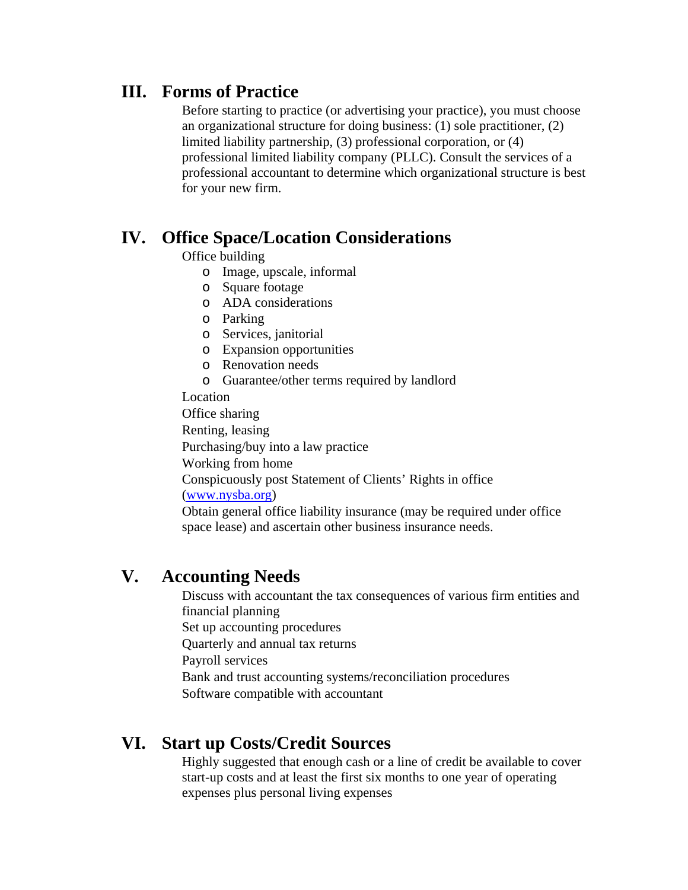### **III. Forms of Practice**

Before starting to practice (or advertising your practice), you must choose an organizational structure for doing business: (1) sole practitioner, (2) limited liability partnership, (3) professional corporation, or (4) professional limited liability company (PLLC). Consult the services of a professional accountant to determine which organizational structure is best for your new firm.

## **IV. Office Space/Location Considerations**

Office building

- o Image, upscale, informal
- o Square footage
- o ADA considerations
- o Parking
- o Services, janitorial
- o Expansion opportunities
- o Renovation needs
- o Guarantee/other terms required by landlord

#### Location

Office sharing Renting, leasing Purchasing/buy into a law practice Working from home Conspicuously post Statement of Clients' Rights in office ([www.nysba.org\)](http://www.nysba.org/)

Obtain general office liability insurance (may be required under office space lease) and ascertain other business insurance needs.

## **V. Accounting Needs**

Discuss with accountant the tax consequences of various firm entities and financial planning Set up accounting procedures Quarterly and annual tax returns Payroll services Bank and trust accounting systems/reconciliation procedures Software compatible with accountant

## **VI. Start up Costs/Credit Sources**

Highly suggested that enough cash or a line of credit be available to cover start-up costs and at least the first six months to one year of operating expenses plus personal living expenses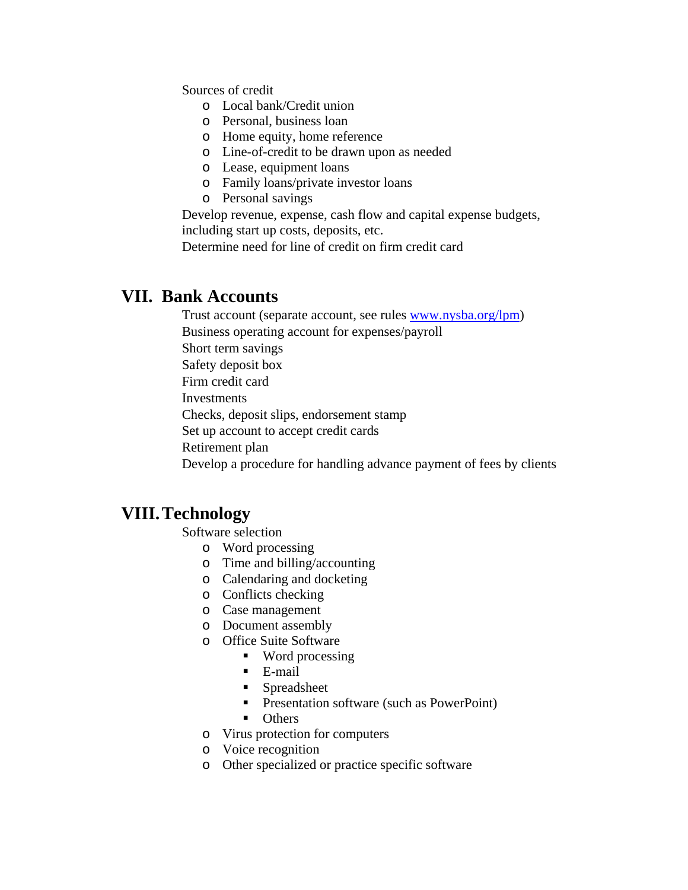Sources of credit

- o Local bank/Credit union
- o Personal, business loan
- o Home equity, home reference
- o Line-of-credit to be drawn upon as needed
- o Lease, equipment loans
- o Family loans/private investor loans
- o Personal savings

Develop revenue, expense, cash flow and capital expense budgets, including start up costs, deposits, etc.

Determine need for line of credit on firm credit card

#### **VII. Bank Accounts**

Trust account (separate account, see rules [www.nysba.org/lpm\)](http://www.nysba.org/lpm) Business operating account for expenses/payroll Short term savings Safety deposit box

Firm credit card

Investments

Checks, deposit slips, endorsement stamp

Set up account to accept credit cards

Retirement plan

Develop a procedure for handling advance payment of fees by clients

#### **VIII.Technology**

Software selection

- o Word processing
- o Time and billing/accounting
- o Calendaring and docketing
- o Conflicts checking
- o Case management
- o Document assembly
- o Office Suite Software
	- Word processing
	- **E-mail**
	- **Spreadsheet**
	- **Presentation software (such as PowerPoint)**
	- Others
- o Virus protection for computers
- o Voice recognition
- o Other specialized or practice specific software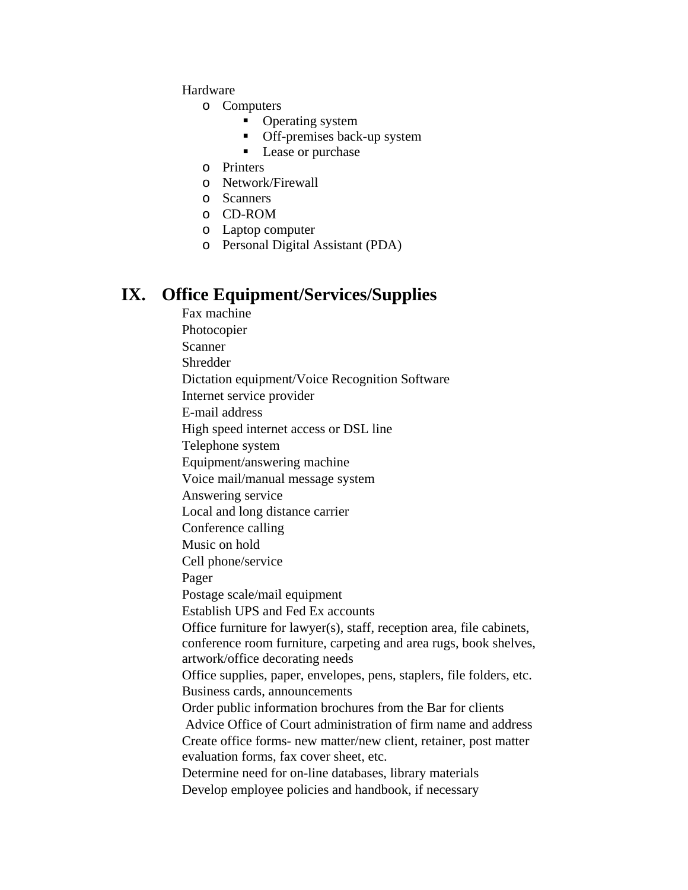Hardware

- o Computers
	- Operating system
	- Off-premises back-up system
	- Lease or purchase
- o Printers
- o Network/Firewall
- o Scanners
- o CD-ROM
- o Laptop computer
- o Personal Digital Assistant (PDA)

#### **IX. Office Equipment/Services/Supplies**

Fax machine Photocopier Scanner Shredder Dictation equipment/Voice Recognition Software Internet service provider E-mail address High speed internet access or DSL line Telephone system Equipment/answering machine Voice mail/manual message system Answering service Local and long distance carrier Conference calling Music on hold Cell phone/service Pager Postage scale/mail equipment Establish UPS and Fed Ex accounts Office furniture for lawyer(s), staff, reception area, file cabinets, conference room furniture, carpeting and area rugs, book shelves, artwork/office decorating needs Office supplies, paper, envelopes, pens, staplers, file folders, etc. Business cards, announcements Order public information brochures from the Bar for clients Advice Office of Court administration of firm name and address Create office forms- new matter/new client, retainer, post matter evaluation forms, fax cover sheet, etc. Determine need for on-line databases, library materials Develop employee policies and handbook, if necessary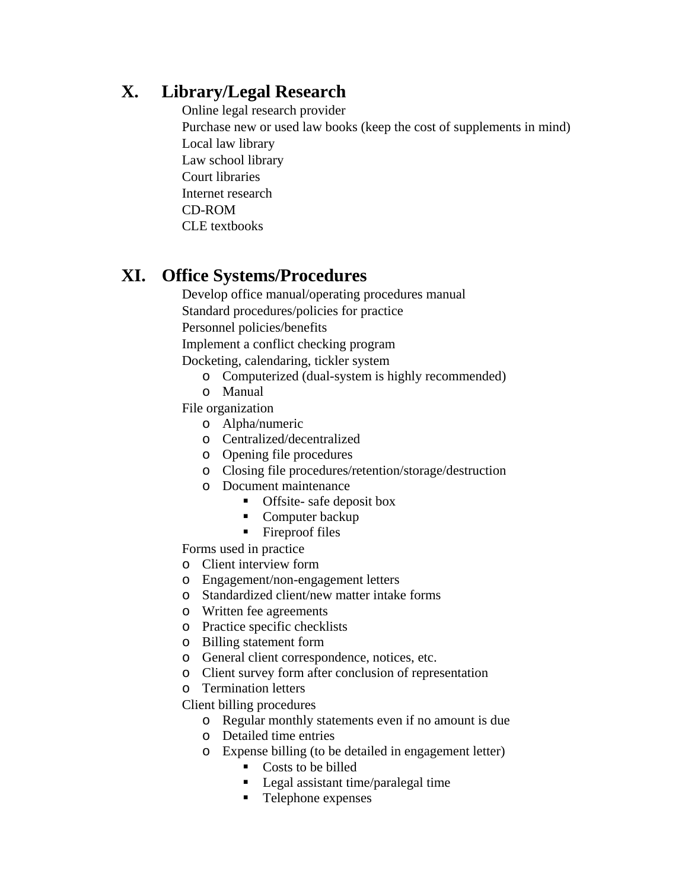# **X. Library/Legal Research**

Online legal research provider Purchase new or used law books (keep the cost of supplements in mind) Local law library Law school library Court libraries Internet research CD-ROM CLE textbooks

# **XI. Office Systems/Procedures**

Develop office manual/operating procedures manual Standard procedures/policies for practice

Personnel policies/benefits

Implement a conflict checking program

Docketing, calendaring, tickler system

- o Computerized (dual-system is highly recommended)
- o Manual

File organization

- o Alpha/numeric
- o Centralized/decentralized
- o Opening file procedures
- o Closing file procedures/retention/storage/destruction
- o Document maintenance
	- **Offsite-** safe deposit box
	- Computer backup
	- Fireproof files

Forms used in practice

- o Client interview form
- o Engagement/non-engagement letters
- o Standardized client/new matter intake forms
- o Written fee agreements
- o Practice specific checklists
- o Billing statement form
- o General client correspondence, notices, etc.
- o Client survey form after conclusion of representation
- o Termination letters

Client billing procedures

- o Regular monthly statements even if no amount is due
- o Detailed time entries
- o Expense billing (to be detailed in engagement letter)
	- Costs to be billed
	- Legal assistant time/paralegal time
	- Telephone expenses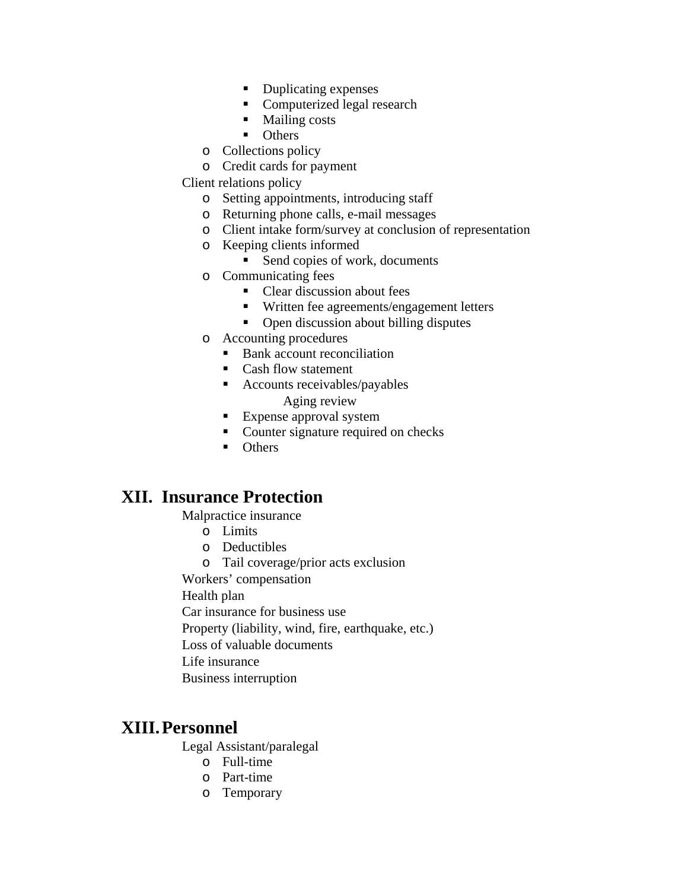- Duplicating expenses
- Computerized legal research
- Mailing costs
- **Others**
- o Collections policy
- o Credit cards for payment

Client relations policy

- o Setting appointments, introducing staff
- o Returning phone calls, e-mail messages
- o Client intake form/survey at conclusion of representation
- o Keeping clients informed
	- Send copies of work, documents
- o Communicating fees
	- Clear discussion about fees
	- Written fee agreements/engagement letters
	- Open discussion about billing disputes
- o Accounting procedures
	- Bank account reconciliation
	- Cash flow statement
	- Accounts receivables/payables Aging review
	- **Expense approval system**
	- Counter signature required on checks
	- **Communism** Others

### **XII. Insurance Protection**

Malpractice insurance

- o Limits
- o Deductibles
- o Tail coverage/prior acts exclusion

Workers' compensation

Health plan

Car insurance for business use

Property (liability, wind, fire, earthquake, etc.)

Loss of valuable documents

- Life insurance
- Business interruption

### **XIII.Personnel**

Legal Assistant/paralegal

- o Full-time
- o Part-time
- o Temporary